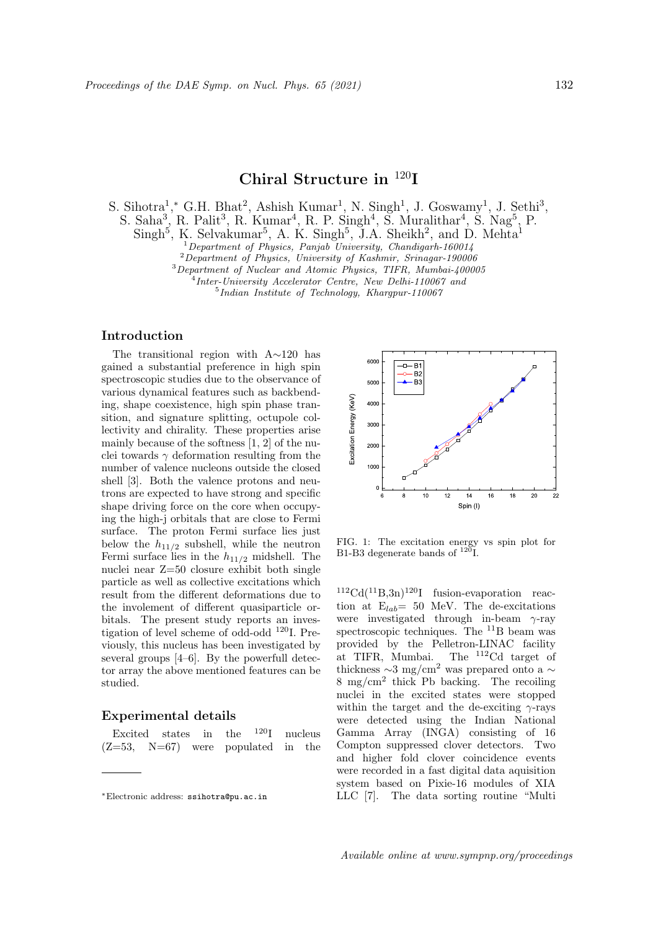# **Chiral Structure in** <sup>120</sup>**I**

S. Sihotra<sup>1</sup>,\* G.H. Bhat<sup>2</sup>, Ashish Kumar<sup>1</sup>, N. Singh<sup>1</sup>, J. Goswamy<sup>1</sup>, J. Sethi<sup>3</sup>,

S. Saha<sup>3</sup>, R. Palit<sup>3</sup>, R. Kumar<sup>4</sup>, R. P. Singh<sup>4</sup>, S. Muralithar<sup>4</sup>, S. Nag<sup>5</sup>, P.

 $\text{Singh}^5$ , K. Selvakumar<sup>5</sup>, A. K. Singh<sup>5</sup>, J.A. Sheikh<sup>2</sup>, and D. Mehta<sup>1</sup>

<sup>1</sup>*Department of Physics, Panjab University, Chandigarh-160014*

<sup>2</sup>*Department of Physics, University of Kashmir, Srinagar-190006*

<sup>3</sup>*Department of Nuclear and Atomic Physics, TIFR, Mumbai-400005*

4 *Inter-University Accelerator Centre, New Delhi-110067 and*

5 *Indian Institute of Technology, Khargpur-110067*

## **Introduction**

The transitional region with A*∼*120 has gained a substantial preference in high spin spectroscopic studies due to the observance of various dynamical features such as backbending, shape coexistence, high spin phase transition, and signature splitting, octupole collectivity and chirality. These properties arise mainly because of the softness [1, 2] of the nuclei towards  $\gamma$  deformation resulting from the number of valence nucleons outside the closed shell [3]. Both the valence protons and neutrons are expected to have strong and specific shape driving force on the core when occupying the high-j orbitals that are close to Fermi surface. The proton Fermi surface lies just below the  $h_{11/2}$  subshell, while the neutron Fermi surface lies in the  $h_{11/2}$  midshell. The nuclei near Z=50 closure exhibit both single particle as well as collective excitations which result from the different deformations due to the involement of different quasiparticle orbitals. The present study reports an investigation of level scheme of odd-odd <sup>120</sup>I. Previously, this nucleus has been investigated by several groups [4–6]. By the powerfull detector array the above mentioned features can be studied.

## **Experimental details**

Excited states in the  $120I$  nucleus  $(Z=53, N=67)$  were populated in the



FIG. 1: The excitation energy vs spin plot for B1-B3 degenerate bands of  $^{120}$ I.

 $112 \text{Cd}(11 \text{B},3\text{n})$ <sup>120</sup>I fusion-evaporation reaction at  $E_{lab} = 50$  MeV. The de-excitations were investigated through in-beam *γ*-ray spectroscopic techniques. The <sup>11</sup>B beam was provided by the Pelletron-LINAC facility at TIFR, Mumbai. The <sup>112</sup>Cd target of thickness *<sup>∼</sup>*3 mg/cm<sup>2</sup> was prepared onto a *<sup>∼</sup>* 8 mg/cm<sup>2</sup> thick Pb backing. The recoiling nuclei in the excited states were stopped within the target and the de-exciting *γ*-rays were detected using the Indian National Gamma Array (INGA) consisting of 16 Compton suppressed clover detectors. Two and higher fold clover coincidence events were recorded in a fast digital data aquisition system based on Pixie-16 modules of XIA LLC [7]. The data sorting routine "Multi

*<sup>∗</sup>*Electronic address: ssihotra@pu.ac.in